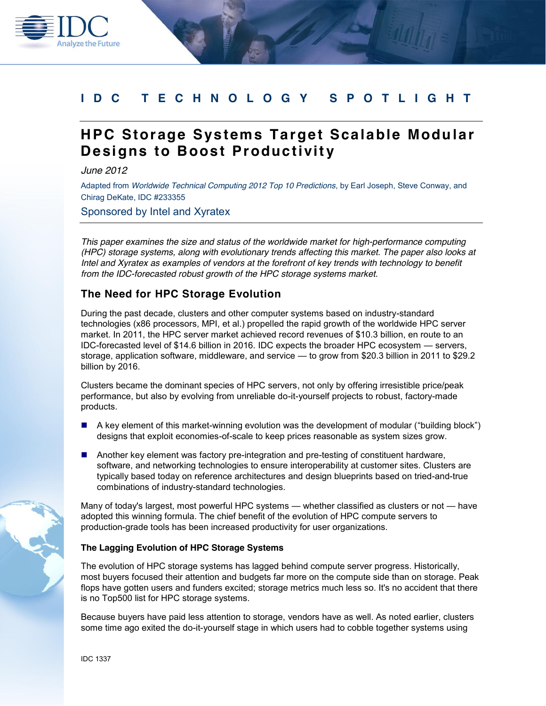# **IDC TECHNOLOGY SPOTLIGHT**

# **HPC Storage Systems Target Scalable Modular Designs to Boost Productivity**

*June 2012*

**Analyze the Future** 

Adapted from *Worldwide Technical Computing 2012 Top 10 Predictions*, by Earl Joseph, Steve Conway, and Chirag DeKate, IDC #233355

Sponsored by Intel and Xyratex

*This paper examines the size and status of the worldwide market for high-performance computing (HPC) storage systems, along with evolutionary trends affecting this market. The paper also looks at Intel and Xyratex as examples of vendors at the forefront of key trends with technology to benefit from the IDC-forecasted robust growth of the HPC storage systems market.* 

## **The Need for HPC Storage Evolution**

During the past decade, clusters and other computer systems based on industry-standard technologies (x86 processors, MPI, et al.) propelled the rapid growth of the worldwide HPC server market. In 2011, the HPC server market achieved record revenues of \$10.3 billion, en route to an IDC-forecasted level of \$14.6 billion in 2016. IDC expects the broader HPC ecosystem — servers, storage, application software, middleware, and service — to grow from \$20.3 billion in 2011 to \$29.2 billion by 2016.

Clusters became the dominant species of HPC servers, not only by offering irresistible price/peak performance, but also by evolving from unreliable do-it-yourself projects to robust, factory-made products.

- A key element of this market-winning evolution was the development of modular ("building block") designs that exploit economies-of-scale to keep prices reasonable as system sizes grow.
- **Another key element was factory pre-integration and pre-testing of constituent hardware,** software, and networking technologies to ensure interoperability at customer sites. Clusters are typically based today on reference architectures and design blueprints based on tried-and-true combinations of industry-standard technologies.

Many of today's largest, most powerful HPC systems — whether classified as clusters or not — have adopted this winning formula. The chief benefit of the evolution of HPC compute servers to production-grade tools has been increased productivity for user organizations.

### **The Lagging Evolution of HPC Storage Systems**

The evolution of HPC storage systems has lagged behind compute server progress. Historically, most buyers focused their attention and budgets far more on the compute side than on storage. Peak flops have gotten users and funders excited; storage metrics much less so. It's no accident that there is no Top500 list for HPC storage systems.

Because buyers have paid less attention to storage, vendors have as well. As noted earlier, clusters some time ago exited the do-it-yourself stage in which users had to cobble together systems using

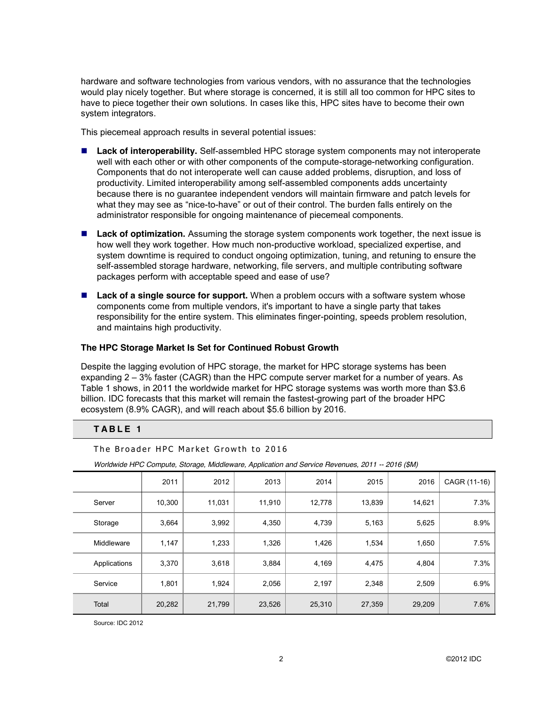hardware and software technologies from various vendors, with no assurance that the technologies would play nicely together. But where storage is concerned, it is still all too common for HPC sites to have to piece together their own solutions. In cases like this, HPC sites have to become their own system integrators.

This piecemeal approach results in several potential issues:

- Lack of interoperability. Self-assembled HPC storage system components may not interoperate well with each other or with other components of the compute-storage-networking configuration. Components that do not interoperate well can cause added problems, disruption, and loss of productivity. Limited interoperability among self-assembled components adds uncertainty because there is no guarantee independent vendors will maintain firmware and patch levels for what they may see as "nice-to-have" or out of their control. The burden falls entirely on the administrator responsible for ongoing maintenance of piecemeal components.
- Lack of optimization. Assuming the storage system components work together, the next issue is how well they work together. How much non-productive workload, specialized expertise, and system downtime is required to conduct ongoing optimization, tuning, and retuning to ensure the self-assembled storage hardware, networking, file servers, and multiple contributing software packages perform with acceptable speed and ease of use?
- Lack of a single source for support. When a problem occurs with a software system whose components come from multiple vendors, it's important to have a single party that takes responsibility for the entire system. This eliminates finger-pointing, speeds problem resolution, and maintains high productivity.

#### **The HPC Storage Market Is Set for Continued Robust Growth**

Despite the lagging evolution of HPC storage, the market for HPC storage systems has been expanding 2 – 3% faster (CAGR) than the HPC compute server market for a number of years. As Table 1 shows, in 2011 the worldwide market for HPC storage systems was worth more than \$3.6 billion. IDC forecasts that this market will remain the fastest-growing part of the broader HPC ecosystem (8.9% CAGR), and will reach about \$5.6 billion by 2016.

### **TABLE 1**

The Broader HPC Market Growth to 2016

|              | 2011   | 2012   | 2013   | 2014   | 2015   | 2016   | CAGR (11-16) |
|--------------|--------|--------|--------|--------|--------|--------|--------------|
| Server       | 10,300 | 11,031 | 11,910 | 12,778 | 13,839 | 14,621 | 7.3%         |
| Storage      | 3,664  | 3,992  | 4,350  | 4,739  | 5,163  | 5,625  | 8.9%         |
| Middleware   | 1,147  | 1,233  | 1,326  | 1,426  | 1,534  | 1,650  | 7.5%         |
| Applications | 3,370  | 3,618  | 3,884  | 4,169  | 4,475  | 4,804  | 7.3%         |
| Service      | 1,801  | 1,924  | 2,056  | 2,197  | 2,348  | 2,509  | 6.9%         |
| Total        | 20,282 | 21,799 | 23,526 | 25,310 | 27,359 | 29,209 | 7.6%         |

*Worldwide HPC Compute, Storage, Middleware, Application and Service Revenues, 2011 -- 2016 (\$M)*

Source: IDC 2012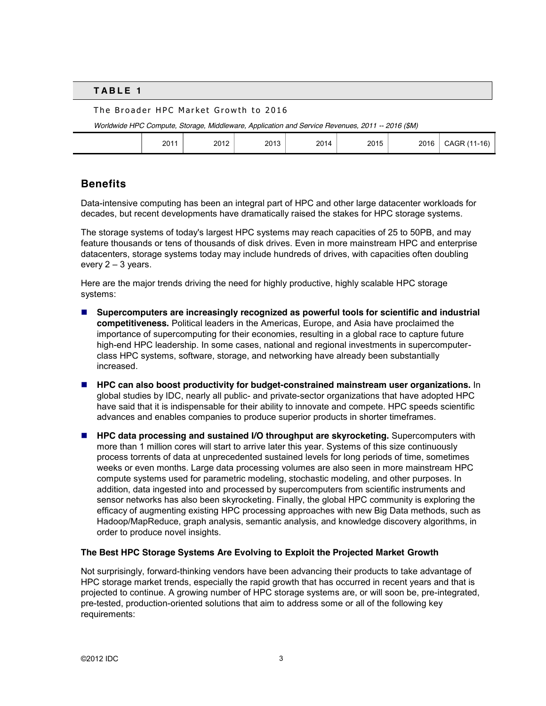#### **TABLE 1**

#### The Broader HPC Market Growth to 2016

*Worldwide HPC Compute, Storage, Middleware, Application and Service Revenues, 2011 -- 2016 (\$M)*

|  | 2011 | 2012 | 2013<br>$\sim$ $\sim$ | 2014 | 2015<br>____ | 2016 | <b>CAGR (11</b><br>1-16<br>____ |
|--|------|------|-----------------------|------|--------------|------|---------------------------------|
|--|------|------|-----------------------|------|--------------|------|---------------------------------|

## **Benefits**

Data-intensive computing has been an integral part of HPC and other large datacenter workloads for decades, but recent developments have dramatically raised the stakes for HPC storage systems.

The storage systems of today's largest HPC systems may reach capacities of 25 to 50PB, and may feature thousands or tens of thousands of disk drives. Even in more mainstream HPC and enterprise datacenters, storage systems today may include hundreds of drives, with capacities often doubling every 2 – 3 years.

Here are the major trends driving the need for highly productive, highly scalable HPC storage systems:

- **Supercomputers are increasingly recognized as powerful tools for scientific and industrial competitiveness.** Political leaders in the Americas, Europe, and Asia have proclaimed the importance of supercomputing for their economies, resulting in a global race to capture future high-end HPC leadership. In some cases, national and regional investments in supercomputerclass HPC systems, software, storage, and networking have already been substantially increased.
- **HPC can also boost productivity for budget-constrained mainstream user organizations.** In global studies by IDC, nearly all public- and private-sector organizations that have adopted HPC have said that it is indispensable for their ability to innovate and compete. HPC speeds scientific advances and enables companies to produce superior products in shorter timeframes.
- **HPC data processing and sustained I/O throughput are skyrocketing.** Supercomputers with more than 1 million cores will start to arrive later this year. Systems of this size continuously process torrents of data at unprecedented sustained levels for long periods of time, sometimes weeks or even months. Large data processing volumes are also seen in more mainstream HPC compute systems used for parametric modeling, stochastic modeling, and other purposes. In addition, data ingested into and processed by supercomputers from scientific instruments and sensor networks has also been skyrocketing. Finally, the global HPC community is exploring the efficacy of augmenting existing HPC processing approaches with new Big Data methods, such as Hadoop/MapReduce, graph analysis, semantic analysis, and knowledge discovery algorithms, in order to produce novel insights.

#### **The Best HPC Storage Systems Are Evolving to Exploit the Projected Market Growth**

Not surprisingly, forward-thinking vendors have been advancing their products to take advantage of HPC storage market trends, especially the rapid growth that has occurred in recent years and that is projected to continue. A growing number of HPC storage systems are, or will soon be, pre-integrated, pre-tested, production-oriented solutions that aim to address some or all of the following key requirements: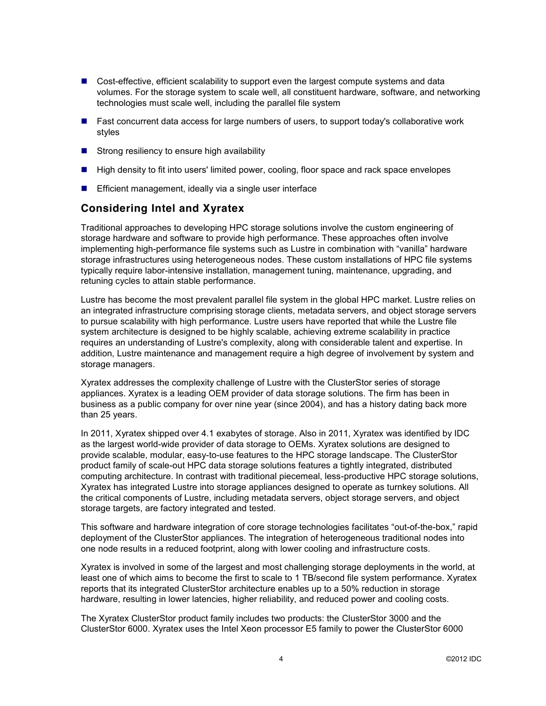- Cost-effective, efficient scalability to support even the largest compute systems and data volumes. For the storage system to scale well, all constituent hardware, software, and networking technologies must scale well, including the parallel file system
- Fast concurrent data access for large numbers of users, to support today's collaborative work styles
- $\blacksquare$  Strong resiliency to ensure high availability
- **High density to fit into users' limited power, cooling, floor space and rack space envelopes**
- **Efficient management, ideally via a single user interface**

## **Considering Intel and Xyratex**

Traditional approaches to developing HPC storage solutions involve the custom engineering of storage hardware and software to provide high performance. These approaches often involve implementing high-performance file systems such as Lustre in combination with "vanilla" hardware storage infrastructures using heterogeneous nodes. These custom installations of HPC file systems typically require labor-intensive installation, management tuning, maintenance, upgrading, and retuning cycles to attain stable performance.

Lustre has become the most prevalent parallel file system in the global HPC market. Lustre relies on an integrated infrastructure comprising storage clients, metadata servers, and object storage servers to pursue scalability with high performance. Lustre users have reported that while the Lustre file system architecture is designed to be highly scalable, achieving extreme scalability in practice requires an understanding of Lustre's complexity, along with considerable talent and expertise. In addition, Lustre maintenance and management require a high degree of involvement by system and storage managers.

Xyratex addresses the complexity challenge of Lustre with the ClusterStor series of storage appliances. Xyratex is a leading OEM provider of data storage solutions. The firm has been in business as a public company for over nine year (since 2004), and has a history dating back more than 25 years.

In 2011, Xyratex shipped over 4.1 exabytes of storage. Also in 2011, Xyratex was identified by IDC as the largest world-wide provider of data storage to OEMs. Xyratex solutions are designed to provide scalable, modular, easy-to-use features to the HPC storage landscape. The ClusterStor product family of scale-out HPC data storage solutions features a tightly integrated, distributed computing architecture. In contrast with traditional piecemeal, less-productive HPC storage solutions, Xyratex has integrated Lustre into storage appliances designed to operate as turnkey solutions. All the critical components of Lustre, including metadata servers, object storage servers, and object storage targets, are factory integrated and tested.

This software and hardware integration of core storage technologies facilitates "out-of-the-box," rapid deployment of the ClusterStor appliances. The integration of heterogeneous traditional nodes into one node results in a reduced footprint, along with lower cooling and infrastructure costs.

Xyratex is involved in some of the largest and most challenging storage deployments in the world, at least one of which aims to become the first to scale to 1 TB/second file system performance. Xyratex reports that its integrated ClusterStor architecture enables up to a 50% reduction in storage hardware, resulting in lower latencies, higher reliability, and reduced power and cooling costs.

The Xyratex ClusterStor product family includes two products: the ClusterStor 3000 and the ClusterStor 6000. Xyratex uses the Intel Xeon processor E5 family to power the ClusterStor 6000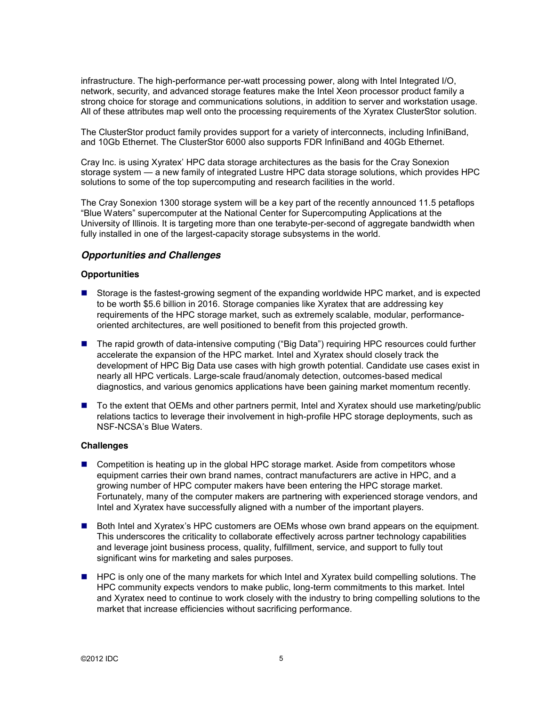infrastructure. The high-performance per-watt processing power, along with Intel Integrated I/O, network, security, and advanced storage features make the Intel Xeon processor product family a strong choice for storage and communications solutions, in addition to server and workstation usage. All of these attributes map well onto the processing requirements of the Xyratex ClusterStor solution.

The ClusterStor product family provides support for a variety of interconnects, including InfiniBand, and 10Gb Ethernet. The ClusterStor 6000 also supports FDR InfiniBand and 40Gb Ethernet.

Cray Inc. is using Xyratex' HPC data storage architectures as the basis for the Cray Sonexion storage system — a new family of integrated Lustre HPC data storage solutions, which provides HPC solutions to some of the top supercomputing and research facilities in the world.

The Cray Sonexion 1300 storage system will be a key part of the recently announced 11.5 petaflops "Blue Waters" supercomputer at the National Center for Supercomputing Applications at the University of Illinois. It is targeting more than one terabyte-per-second of aggregate bandwidth when fully installed in one of the largest-capacity storage subsystems in the world.

### *Opportunities and Challenges*

#### **Opportunities**

- Storage is the fastest-growing segment of the expanding worldwide HPC market, and is expected to be worth \$5.6 billion in 2016. Storage companies like Xyratex that are addressing key requirements of the HPC storage market, such as extremely scalable, modular, performanceoriented architectures, are well positioned to benefit from this projected growth.
- The rapid growth of data-intensive computing ("Big Data") requiring HPC resources could further accelerate the expansion of the HPC market. Intel and Xyratex should closely track the development of HPC Big Data use cases with high growth potential. Candidate use cases exist in nearly all HPC verticals. Large-scale fraud/anomaly detection, outcomes-based medical diagnostics, and various genomics applications have been gaining market momentum recently.
- To the extent that OEMs and other partners permit, Intel and Xyratex should use marketing/public relations tactics to leverage their involvement in high-profile HPC storage deployments, such as NSF-NCSA's Blue Waters.

#### **Challenges**

- **Competition is heating up in the global HPC storage market. Aside from competitors whose** equipment carries their own brand names, contract manufacturers are active in HPC, and a growing number of HPC computer makers have been entering the HPC storage market. Fortunately, many of the computer makers are partnering with experienced storage vendors, and Intel and Xyratex have successfully aligned with a number of the important players.
- Both Intel and Xyratex's HPC customers are OEMs whose own brand appears on the equipment. This underscores the criticality to collaborate effectively across partner technology capabilities and leverage joint business process, quality, fulfillment, service, and support to fully tout significant wins for marketing and sales purposes.
- **HPC** is only one of the many markets for which Intel and Xyratex build compelling solutions. The HPC community expects vendors to make public, long-term commitments to this market. Intel and Xyratex need to continue to work closely with the industry to bring compelling solutions to the market that increase efficiencies without sacrificing performance.